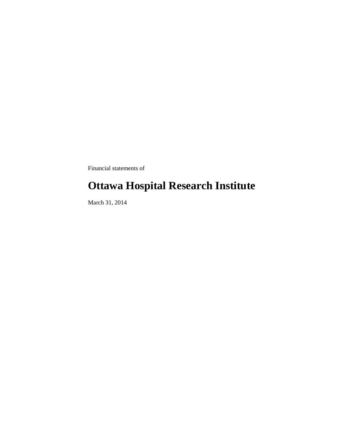Financial statements of

# **Ottawa Hospital Research Institute**

March 31, 2014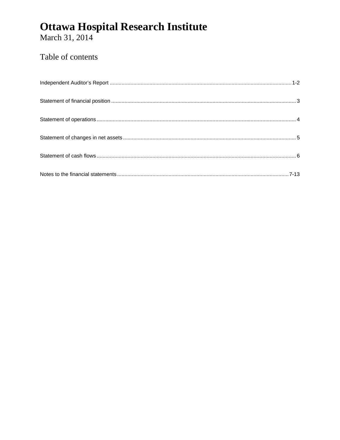# **Ottawa Hospital Research Institute**<br>March 31, 2014

### Table of contents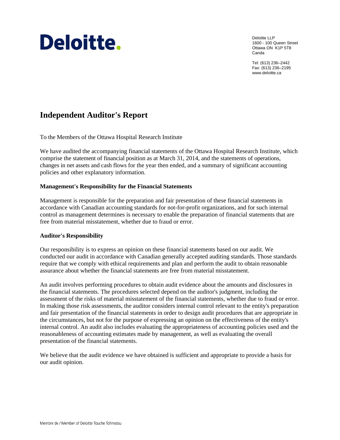# Deloitte.

Deloitte LLP 1600 - 100 Queen Street Ottawa ON K1P 5T8 Canda

Tel: (613) 236–2442 Fax: (613) 236–2195 www.deloitte.ca

### **Independent Auditor's Report**

To the Members of the Ottawa Hospital Research Institute

We have audited the accompanying financial statements of the Ottawa Hospital Research Institute, which comprise the statement of financial position as at March 31, 2014, and the statements of operations, changes in net assets and cash flows for the year then ended, and a summary of significant accounting policies and other explanatory information.

#### **Management's Responsibility for the Financial Statements**

Management is responsible for the preparation and fair presentation of these financial statements in accordance with Canadian accounting standards for not-for-profit organizations, and for such internal control as management determines is necessary to enable the preparation of financial statements that are free from material misstatement, whether due to fraud or error.

#### **Auditor's Responsibility**

Our responsibility is to express an opinion on these financial statements based on our audit. We conducted our audit in accordance with Canadian generally accepted auditing standards. Those standards require that we comply with ethical requirements and plan and perform the audit to obtain reasonable assurance about whether the financial statements are free from material misstatement.

An audit involves performing procedures to obtain audit evidence about the amounts and disclosures in the financial statements. The procedures selected depend on the auditor's judgment, including the assessment of the risks of material misstatement of the financial statements, whether due to fraud or error. In making those risk assessments, the auditor considers internal control relevant to the entity's preparation and fair presentation of the financial statements in order to design audit procedures that are appropriate in the circumstances, but not for the purpose of expressing an opinion on the effectiveness of the entity's internal control. An audit also includes evaluating the appropriateness of accounting policies used and the reasonableness of accounting estimates made by management, as well as evaluating the overall presentation of the financial statements.

We believe that the audit evidence we have obtained is sufficient and appropriate to provide a basis for our audit opinion.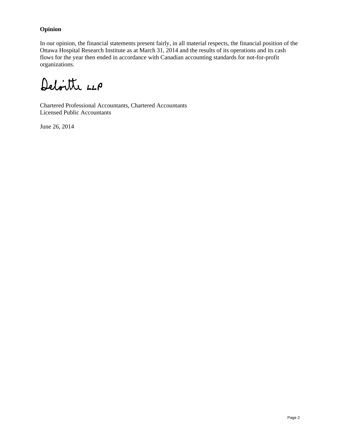#### **Opinion**

In our opinion, the financial statements present fairly, in all material respects, the financial position of the Ottawa Hospital Research Institute as at March 31, 2014 and the results of its operations and its cash flows for the year then ended in accordance with Canadian accounting standards for not-for-profit organizations.

Deloitte LLP

Chartered Professional Accountants, Chartered Accountants Licensed Public Accountants

June 26, 2014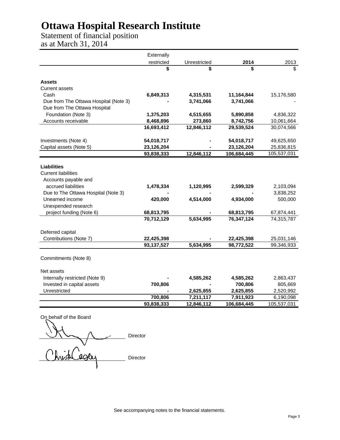### Statement of financial position as at March 31, 2014

|                                       | Externally |              |             |             |
|---------------------------------------|------------|--------------|-------------|-------------|
|                                       | restricted | Unrestricted | 2014        | 2013        |
|                                       | \$         | \$           | \$          | \$.         |
| <b>Assets</b>                         |            |              |             |             |
| <b>Current assets</b>                 |            |              |             |             |
| Cash                                  | 6,849,313  | 4,315,531    | 11,164,844  | 15,176,580  |
| Due from The Ottawa Hospital (Note 3) |            | 3,741,066    | 3,741,066   |             |
| Due from The Ottawa Hospital          |            |              |             |             |
| Foundation (Note 3)                   | 1,375,203  | 4,515,655    | 5,890,858   | 4,836,322   |
| Accounts receivable                   | 8,468,896  | 273,860      | 8,742,756   | 10,061,664  |
|                                       | 16,693,412 | 12,846,112   | 29,539,524  | 30,074,566  |
| Investments (Note 4)                  | 54,018,717 |              | 54,018,717  | 49,625,650  |
| Capital assets (Note 5)               | 23,126,204 |              | 23,126,204  | 25,836,815  |
|                                       | 93,838,333 | 12,846,112   | 106,684,445 | 105,537,031 |
|                                       |            |              |             |             |
| <b>Liabilities</b>                    |            |              |             |             |
| <b>Current liabilities</b>            |            |              |             |             |
| Accounts payable and                  |            |              |             |             |
| accrued liabilities                   | 1,478,334  | 1,120,995    | 2,599,329   | 2,103,094   |
| Due to The Ottawa Hospital (Note 3)   |            |              |             | 3,838,252   |
| Unearned income                       | 420,000    | 4,514,000    | 4,934,000   | 500,000     |
| Unexpended research                   |            |              |             |             |
| project funding (Note 6)              | 68,813,795 |              | 68,813,795  | 67,874,441  |
|                                       | 70,712,129 | 5,634,995    | 76,347,124  | 74,315,787  |
| Deferred capital                      |            |              |             |             |
| Contributions (Note 7)                | 22,425,398 |              | 22,425,398  | 25,031,146  |
|                                       | 93,137,527 | 5,634,995    | 98,772,522  | 99,346,933  |
| Commitments (Note 8)                  |            |              |             |             |
|                                       |            |              |             |             |
| Net assets                            |            |              |             |             |
| Internally restricted (Note 9)        |            | 4,585,262    | 4,585,262   | 2,863,437   |
| Invested in capital assets            | 700,806    |              | 700,806     | 805,669     |
| Unrestricted                          |            | 2,625,855    | 2,625,855   | 2,520,992   |
|                                       | 700,806    | 7,211,117    | 7,911,923   | 6,190,098   |
|                                       | 93,838,333 | 12,846,112   | 106,684,445 | 105,537,031 |

On behalf of the Board

**Director Director**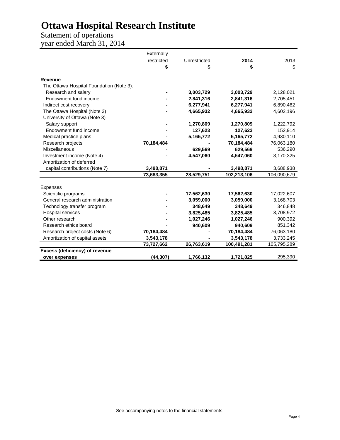Statement of operations year ended March 31, 2014

| 2013        |
|-------------|
| \$          |
|             |
|             |
| 2,128,021   |
| 2,705,451   |
| 6,890,462   |
| 4,602,196   |
|             |
| 1,222,792   |
| 152,914     |
| 4,930,110   |
| 76,063,180  |
| 536,290     |
| 3,170,325   |
|             |
| 3,688,938   |
| 106,090,679 |
|             |
| 17,022,607  |
| 3,168,703   |
| 346,848     |
| 3,708,972   |
| 900,392     |
| 851,342     |
| 76,063,180  |
| 3,733,245   |
| 105,795,289 |
|             |
| 295,390     |
|             |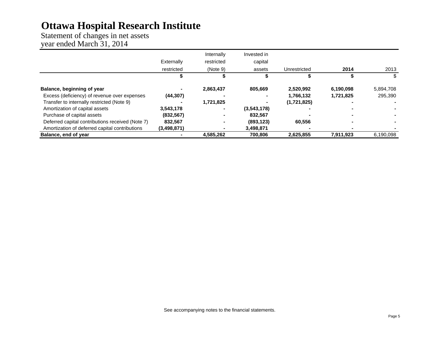Statement of changes in net assets year ended March 31, 2014

|                                                  |             | Internally | Invested in    |              |           |           |
|--------------------------------------------------|-------------|------------|----------------|--------------|-----------|-----------|
|                                                  | Externally  | restricted | capital        |              |           |           |
|                                                  | restricted  | (Note 9)   | assets         | Unrestricted | 2014      | 2013      |
|                                                  |             |            |                |              |           |           |
| Balance, beginning of year                       |             | 2,863,437  | 805,669        | 2.520.992    | 6.190.098 | 5,894,708 |
| Excess (deficiency) of revenue over expenses     | (44, 307)   |            | ۰.             | 1.766.132    | 1,721,825 | 295,390   |
| Transfer to internally restricted (Note 9)       |             | 1,721,825  | $\blacksquare$ | (1,721,825)  |           |           |
| Amortization of capital assets                   | 3.543.178   | ۰          | (3,543,178)    |              |           |           |
| Purchase of capital assets                       | (832, 567)  | ۰.         | 832.567        |              |           |           |
| Deferred capital contributions received (Note 7) | 832.567     | ۰.         | (893, 123)     | 60,556       |           |           |
| Amortization of deferred capital contributions   | (3,498,871) | ۰          | 3,498,871      |              |           |           |
| Balance, end of year                             |             | 4.585.262  | 700.806        | 2.625.855    | 7.911.923 | 6,190,098 |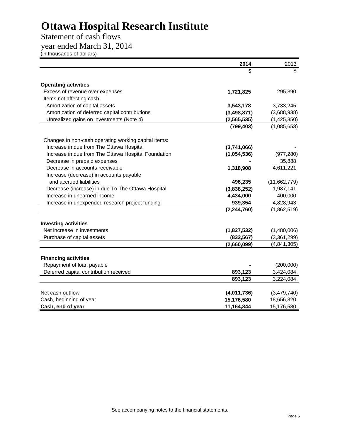### Statement of cash flows year ended March 31, 2014 (in thousands of dollars)

|                                                      | 2014          | 2013         |
|------------------------------------------------------|---------------|--------------|
|                                                      | \$            | \$           |
| <b>Operating activities</b>                          |               |              |
| Excess of revenue over expenses                      | 1,721,825     | 295,390      |
| Items not affecting cash                             |               |              |
| Amortization of capital assets                       | 3,543,178     | 3,733,245    |
| Amortization of deferred capital contributions       | (3, 498, 871) | (3,688,938)  |
| Unrealized gains on investments (Note 4)             | (2, 565, 535) | (1,425,350)  |
|                                                      | (799, 403)    | (1,085,653)  |
|                                                      |               |              |
| Changes in non-cash operating working capital items: |               |              |
| Increase in due from The Ottawa Hospital             | (3,741,066)   |              |
| Increase in due from The Ottawa Hospital Foundation  | (1,054,536)   | (977, 280)   |
| Decrease in prepaid expenses                         |               | 35,888       |
| Decrease in accounts receivable                      | 1,318,908     | 4,611,221    |
| Increase (decrease) in accounts payable              |               |              |
| and accrued liabilities                              | 496,235       | (11,662,779) |
| Decrease (increase) in due To The Ottawa Hospital    | (3,838,252)   | 1,987,141    |
| Increase in unearned income                          | 4,434,000     | 400,000      |
| Increase in unexpended research project funding      | 939,354       | 4,828,943    |
|                                                      | (2, 244, 760) | (1,862,519)  |
|                                                      |               |              |
| <b>Investing activities</b>                          |               |              |
| Net increase in investments                          | (1,827,532)   | (1,480,006)  |
| Purchase of capital assets                           | (832, 567)    | (3,361,299)  |
|                                                      | (2,660,099)   | (4,841,305)  |
| <b>Financing activities</b>                          |               |              |
| Repayment of loan payable                            |               | (200,000)    |
| Deferred capital contribution received               | 893,123       | 3,424,084    |
|                                                      | 893,123       | 3,224,084    |
|                                                      |               |              |
| Net cash outflow                                     | (4,011,736)   | (3,479,740)  |
| Cash, beginning of year                              | 15,176,580    | 18,656,320   |
| Cash, end of year                                    | 11,164,844    | 15,176,580   |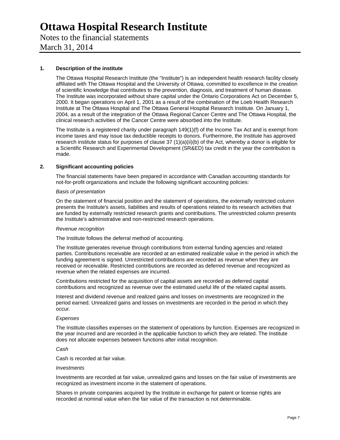# Notes to the financial statements

March 31, 2014

#### **1. Description of the institute**

The Ottawa Hospital Research Institute (the "Institute") is an independent health research facility closely affiliated with The Ottawa Hospital and the University of Ottawa, committed to excellence in the creation of scientific knowledge that contributes to the prevention, diagnosis, and treatment of human disease. The Institute was incorporated without share capital under the Ontario Corporations Act on December 5, 2000. It began operations on April 1, 2001 as a result of the combination of the Loeb Health Research Institute at The Ottawa Hospital and The Ottawa General Hospital Research Institute. On January 1, 2004, as a result of the integration of the Ottawa Regional Cancer Centre and The Ottawa Hospital, the clinical research activities of the Cancer Centre were absorbed into the Institute.

The Institute is a registered charity under paragraph 149(1)(f) of the Income Tax Act and is exempt from income taxes and may issue tax deductible receipts to donors. Furthermore, the Institute has approved research institute status for purposes of clause 37 (1)(a)(ii)(b) of the Act, whereby a donor is eligible for a Scientific Research and Experimental Development (SR&ED) tax credit in the year the contribution is made.

#### **2. Significant accounting policies**

The financial statements have been prepared in accordance with Canadian accounting standards for not-for-profit organizations and include the following significant accounting policies:

#### *Basis of presentation*

On the statement of financial position and the statement of operations, the externally restricted column presents the Institute's assets, liabilities and results of operations related to its research activities that are funded by externally restricted research grants and contributions. The unrestricted column presents the Institute's administrative and non-restricted research operations.

#### *Revenue recognition*

The Institute follows the deferral method of accounting.

The Institute generates revenue through contributions from external funding agencies and related parties. Contributions receivable are recorded at an estimated realizable value in the period in which the funding agreement is signed. Unrestricted contributions are recorded as revenue when they are received or receivable. Restricted contributions are recorded as deferred revenue and recognized as revenue when the related expenses are incurred.

Contributions restricted for the acquisition of capital assets are recorded as deferred capital contributions and recognized as revenue over the estimated useful life of the related capital assets.

Interest and dividend revenue and realized gains and losses on investments are recognized in the period earned. Unrealized gains and losses on investments are recorded in the period in which they occur.

#### *Expenses*

The Institute classifies expenses on the statement of operations by function. Expenses are recognized in the year incurred and are recorded in the applicable function to which they are related. The Institute does not allocate expenses between functions after initial recognition.

#### *Cash*

Cash is recorded at fair value.

#### *Investments*

Investments are recorded at fair value, unrealized gains and losses on the fair value of investments are recognized as investment income in the statement of operations.

Shares in private companies acquired by the Institute in exchange for patent or license rights are recorded at nominal value when the fair value of the transaction is not determinable.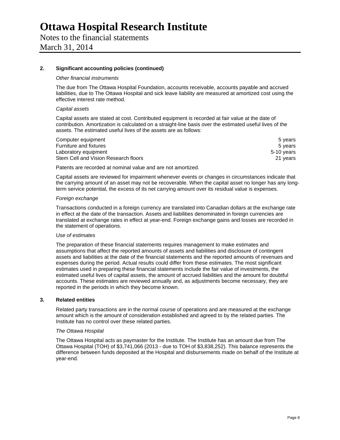Notes to the financial statements March 31, 2014

#### **2. Significant accounting policies (continued)**

#### *Other financial instruments*

The due from The Ottawa Hospital Foundation, accounts receivable, accounts payable and accrued liabilities, due to The Ottawa Hospital and sick leave liability are measured at amortized cost using the effective interest rate method.

#### *Capital assets*

Capital assets are stated at cost. Contributed equipment is recorded at fair value at the date of contribution. Amortization is calculated on a straight-line basis over the estimated useful lives of the assets. The estimated useful lives of the assets are as follows:

| 5 years    |
|------------|
| 5 vears    |
| 5-10 vears |
| 21 years   |
|            |

Patents are recorded at nominal value and are not amortized.

Capital assets are reviewed for impairment whenever events or changes in circumstances indicate that the carrying amount of an asset may not be recoverable. When the capital asset no longer has any longterm service potential, the excess of its net carrying amount over its residual value is expenses.

#### *Foreign exchange*

Transactions conducted in a foreign currency are translated into Canadian dollars at the exchange rate in effect at the date of the transaction. Assets and liabilities denominated in foreign currencies are translated at exchange rates in effect at year-end. Foreign exchange gains and losses are recorded in the statement of operations.

#### *Use of estimates*

The preparation of these financial statements requires management to make estimates and assumptions that affect the reported amounts of assets and liabilities and disclosure of contingent assets and liabilities at the date of the financial statements and the reported amounts of revenues and expenses during the period. Actual results could differ from these estimates. The most significant estimates used in preparing these financial statements include the fair value of investments, the estimated useful lives of capital assets, the amount of accrued liabilities and the amount for doubtful accounts. These estimates are reviewed annually and, as adjustments become necessary, they are reported in the periods in which they become known.

#### **3. Related entities**

Related party transactions are in the normal course of operations and are measured at the exchange amount which is the amount of consideration established and agreed to by the related parties. The Institute has no control over these related parties.

#### *The Ottawa Hospital*

The Ottawa Hospital acts as paymaster for the Institute. The Institute has an amount due from The Ottawa Hospital (TOH) of \$3,741,066 (2013 - due to TOH of \$3,838,252). This balance represents the difference between funds deposited at the Hospital and disbursements made on behalf of the Institute at year-end.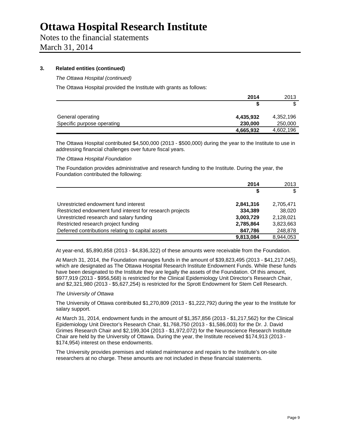### Notes to the financial statements

March 31, 2014

#### **3. Related entities (continued)**

*The Ottawa Hospital (continued)* 

The Ottawa Hospital provided the Institute with grants as follows:

|                            | 2014      | 2013      |
|----------------------------|-----------|-----------|
|                            |           | ጦ         |
|                            |           |           |
| General operating          | 4,435,932 | 4,352,196 |
| Specific purpose operating | 230,000   | 250,000   |
|                            | 4,665,932 | 4,602,196 |

The Ottawa Hospital contributed \$4,500,000 (2013 - \$500,000) during the year to the Institute to use in addressing financial challenges over future fiscal years.

#### *The Ottawa Hospital Foundation*

The Foundation provides administrative and research funding to the Institute. During the year, the Foundation contributed the following:

|                                                          | 2014      | 2013      |
|----------------------------------------------------------|-----------|-----------|
|                                                          | \$        | \$.       |
| Unrestricted endowment fund interest                     | 2,841,316 | 2,705,471 |
| Restricted endowment fund interest for research projects | 334,389   | 38,020    |
| Unrestricted research and salary funding                 | 3,003,729 | 2,128,021 |
| Restricted research project funding                      | 2,785,864 | 3,823,663 |
| Deferred contributions relating to capital assets        | 847,786   | 248,878   |
|                                                          | 9,813,084 | 8,944,053 |

At year-end, \$5,890,858 (2013 - \$4,836,322) of these amounts were receivable from the Foundation.

At March 31, 2014, the Foundation manages funds in the amount of \$39,823,495 (2013 - \$41,217,045), which are designated as The Ottawa Hospital Research Institute Endowment Funds. While these funds have been designated to the Institute they are legally the assets of the Foundation. Of this amount, \$977,919 (2013 - \$956,568) is restricted for the Clinical Epidemiology Unit Director's Research Chair, and \$2,321,980 (2013 - \$5,627,254) is restricted for the Sprott Endowment for Stem Cell Research.

#### *The University of Ottawa*

The University of Ottawa contributed \$1,270,809 (2013 - \$1,222,792) during the year to the Institute for salary support.

At March 31, 2014, endowment funds in the amount of \$1,357,856 (2013 - \$1,217,562) for the Clinical Epidemiology Unit Director's Research Chair, \$1,768,750 (2013 - \$1,586,003) for the Dr. J. David Grimes Research Chair and \$2,199,304 (2013 - \$1,972,072) for the Neuroscience Research Institute Chair are held by the University of Ottawa. During the year, the Institute received \$174,913 (2013 - \$174,954) interest on these endowments.

The University provides premises and related maintenance and repairs to the Institute's on-site researchers at no charge. These amounts are not included in these financial statements.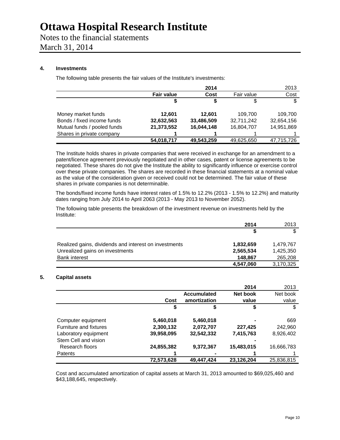Notes to the financial statements March 31, 2014

#### **4. Investments**

The following table presents the fair values of the Institute's investments:

|                             |                   | 2014       |            | 2013       |
|-----------------------------|-------------------|------------|------------|------------|
|                             | <b>Fair value</b> | Cost       | Fair value | Cost       |
|                             | \$                |            |            |            |
| Money market funds          | 12.601            | 12.601     | 109,700    | 109,700    |
| Bonds / fixed income funds  | 32,632,563        | 33,486,509 | 32,711,242 | 32,654,156 |
| Mutual funds / pooled funds | 21,373,552        | 16,044,148 | 16,804,707 | 14,951,869 |
| Shares in private company   |                   |            |            |            |
|                             | 54,018,717        | 49,543,259 | 49,625,650 | 47,715,726 |

The Institute holds shares in private companies that were received in exchange for an amendment to a patent/licence agreement previously negotiated and in other cases, patent or license agreements to be negotiated. These shares do not give the Institute the ability to significantly influence or exercise control over these private companies. The shares are recorded in these financial statements at a nominal value as the value of the consideration given or received could not be determined. The fair value of these shares in private companies is not determinable.

The bonds/fixed income funds have interest rates of 1.5% to 12.2% (2013 - 1.5% to 12.2%) and maturity dates ranging from July 2014 to April 2063 (2013 - May 2013 to November 2052).

The following table presents the breakdown of the investment revenue on investments held by the Institute:

|                                                       | 2014      | 2013      |
|-------------------------------------------------------|-----------|-----------|
|                                                       |           | \$        |
| Realized gains, dividends and interest on investments | 1,832,659 | 1,479,767 |
| Unrealized gains on investments                       | 2,565,534 | 1,425,350 |
| <b>Bank interest</b>                                  | 148,867   | 265,208   |
|                                                       | 4,547,060 | 3,170,325 |

#### **5. Capital assets**

|                        |            |              | 2014       | 2013       |
|------------------------|------------|--------------|------------|------------|
|                        |            | Accumulated  | Net book   | Net book   |
|                        | Cost       | amortization | value      | value      |
|                        | \$         | \$           | æ          | \$         |
| Computer equipment     | 5,460,018  | 5,460,018    | -          | 669        |
| Furniture and fixtures | 2,300,132  | 2,072,707    | 227,425    | 242,960    |
| Laboratory equipment   | 39,958,095 | 32,542,332   | 7,415,763  | 8,926,402  |
| Stem Cell and vision   |            |              |            |            |
| Research floors        | 24,855,382 | 9,372,367    | 15,483,015 | 16,666,783 |
| <b>Patents</b>         |            |              |            |            |
|                        | 72,573,628 | 49.447.424   | 23,126,204 | 25,836,815 |

Cost and accumulated amortization of capital assets at March 31, 2013 amounted to \$69,025,460 and \$43,188,645, respectively.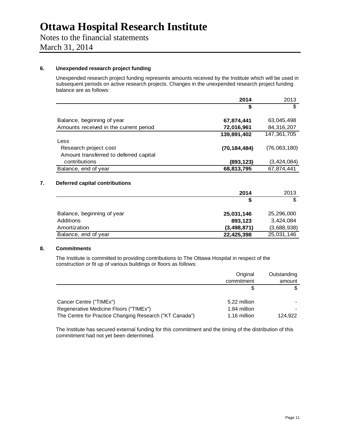### Notes to the financial statements March 31, 2014

#### **6. Unexpended research project funding**

Unexpended research project funding represents amounts received by the Institute which will be used in subsequent periods on active research projects. Changes in the unexpended research project funding balance are as follows:

|                                        | 2014           | 2013         |
|----------------------------------------|----------------|--------------|
|                                        | \$             | \$           |
| Balance, beginning of year             | 67,874,441     | 63,045,498   |
| Amounts received in the current period | 72,016,961     | 84,316,207   |
|                                        | 139,891,402    | 147,361,705  |
| Less                                   |                |              |
| Research project cost                  | (70, 184, 484) | (76,063,180) |
| Amount transferred to deferred capital |                |              |
| contributions                          | (893, 123)     | (3,424,084)  |
| Balance, end of year                   | 68,813,795     | 67,874,441   |

#### **7. Deferred capital contributions**

|                            | 2014        | 2013        |
|----------------------------|-------------|-------------|
|                            |             | \$          |
| Balance, beginning of year | 25,031,146  | 25,296,000  |
| Additions                  | 893,123     | 3,424,084   |
| Amortization               | (3,498,871) | (3,688,938) |
| Balance, end of year       | 22,425,398  | 25,031,146  |

#### **8. Commitments**

The Institute is committed to providing contributions to The Ottawa Hospital in respect of the construction or fit up of various buildings or floors as follows:

|                                                         | Original     | Outstanding |
|---------------------------------------------------------|--------------|-------------|
|                                                         | commitment   | amount      |
|                                                         |              |             |
| Cancer Centre ("TIMEx")                                 | 5.22 million |             |
| Regenerative Medicine Floors ("TIMEx")                  | 1.84 million |             |
| The Centre for Practice Changing Research ("KT Canada") | 1.16 million | 124.922     |

The Institute has secured external funding for this commitment and the timing of the distribution of this commitment had not yet been determined.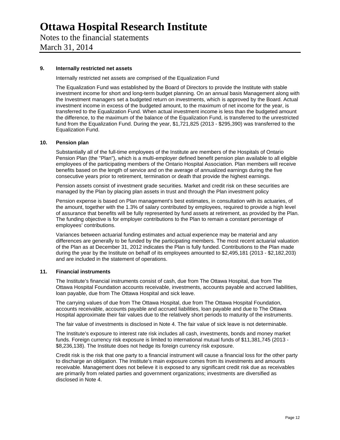Notes to the financial statements March 31, 2014

#### **9. Internally restricted net assets**

Internally restricted net assets are comprised of the Equalization Fund

The Equalization Fund was established by the Board of Directors to provide the Institute with stable investment income for short and long-term budget planning. On an annual basis Management along with the Investment managers set a budgeted return on investments, which is approved by the Board. Actual investment income in excess of the budgeted amount, to the maximum of net income for the year, is transferred to the Equalization Fund. When actual investment income is less than the budgeted amount the difference, to the maximum of the balance of the Equalization Fund, is transferred to the unrestricted fund from the Equalization Fund. During the year, \$1,721,825 (2013 - \$295,390) was transferred to the Equalization Fund.

#### **10. Pension plan**

Substantially all of the full-time employees of the Institute are members of the Hospitals of Ontario Pension Plan (the "Plan"), which is a multi-employer defined benefit pension plan available to all eligible employees of the participating members of the Ontario Hospital Association. Plan members will receive benefits based on the length of service and on the average of annualized earnings during the five consecutive years prior to retirement, termination or death that provide the highest earnings.

Pension assets consist of investment grade securities. Market and credit risk on these securities are managed by the Plan by placing plan assets in trust and through the Plan investment policy

Pension expense is based on Plan management's best estimates, in consultation with its actuaries, of the amount, together with the 1.3% of salary contributed by employees, required to provide a high level of assurance that benefits will be fully represented by fund assets at retirement, as provided by the Plan. The funding objective is for employer contributions to the Plan to remain a constant percentage of employees' contributions.

Variances between actuarial funding estimates and actual experience may be material and any differences are generally to be funded by the participating members. The most recent actuarial valuation of the Plan as at December 31, 2012 indicates the Plan is fully funded. Contributions to the Plan made during the year by the Institute on behalf of its employees amounted to \$2,495,181 (2013 - \$2,182,203) and are included in the statement of operations.

#### **11. Financial instruments**

The Institute's financial instruments consist of cash, due from The Ottawa Hospital, due from The Ottawa Hospital Foundation accounts receivable, investments, accounts payable and accrued liabilities, loan payable, due from The Ottawa Hospital and sick leave.

The carrying values of due from The Ottawa Hospital, due from The Ottawa Hospital Foundation, accounts receivable, accounts payable and accrued liabilities, loan payable and due to The Ottawa Hospital approximate their fair values due to the relatively short periods to maturity of the instruments.

The fair value of investments is disclosed in Note 4. The fair value of sick leave is not determinable.

The Institute's exposure to interest rate risk includes all cash, investments, bonds and money market funds. Foreign currency risk exposure is limited to international mutual funds of \$11,381,745 (2013 - \$8,236,138). The Institute does not hedge its foreign currency risk exposure.

Credit risk is the risk that one party to a financial instrument will cause a financial loss for the other party to discharge an obligation. The Institute's main exposure comes from its investments and amounts receivable. Management does not believe it is exposed to any significant credit risk due as receivables are primarily from related parties and government organizations; investments are diversified as disclosed in Note 4.